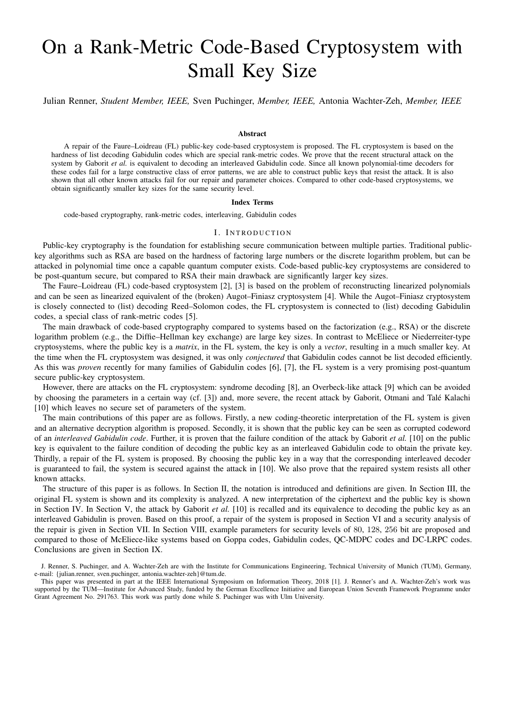# On a Rank-Metric Code-Based Cryptosystem with Small Key Size

Julian Renner, *Student Member, IEEE,* Sven Puchinger, *Member, IEEE,* Antonia Wachter-Zeh, *Member, IEEE*

# Abstract

A repair of the Faure–Loidreau (FL) public-key code-based cryptosystem is proposed. The FL cryptosystem is based on the hardness of list decoding Gabidulin codes which are special rank-metric codes. We prove that the recent structural attack on the system by Gaborit *et al.* is equivalent to decoding an interleaved Gabidulin code. Since all known polynomial-time decoders for these codes fail for a large constructive class of error patterns, we are able to construct public keys that resist the attack. It is also shown that all other known attacks fail for our repair and parameter choices. Compared to other code-based cryptosystems, we obtain significantly smaller key sizes for the same security level.

## Index Terms

code-based cryptography, rank-metric codes, interleaving, Gabidulin codes

#### I. INTRODUCTION

Public-key cryptography is the foundation for establishing secure communication between multiple parties. Traditional publickey algorithms such as RSA are based on the hardness of factoring large numbers or the discrete logarithm problem, but can be attacked in polynomial time once a capable quantum computer exists. Code-based public-key cryptosystems are considered to be post-quantum secure, but compared to RSA their main drawback are significantly larger key sizes.

The Faure–Loidreau (FL) code-based cryptosystem [2], [3] is based on the problem of reconstructing linearized polynomials and can be seen as linearized equivalent of the (broken) Augot–Finiasz cryptosystem [4]. While the Augot–Finiasz cryptosystem is closely connected to (list) decoding Reed–Solomon codes, the FL cryptosystem is connected to (list) decoding Gabidulin codes, a special class of rank-metric codes [5].

The main drawback of code-based cryptography compared to systems based on the factorization (e.g., RSA) or the discrete logarithm problem (e.g., the Diffie–Hellman key exchange) are large key sizes. In contrast to McEliece or Niederreiter-type cryptosystems, where the public key is a *matrix*, in the FL system, the key is only a *vector*, resulting in a much smaller key. At the time when the FL cryptosystem was designed, it was only *conjectured* that Gabidulin codes cannot be list decoded efficiently. As this was *proven* recently for many families of Gabidulin codes [6], [7], the FL system is a very promising post-quantum secure public-key cryptosystem.

However, there are attacks on the FL cryptosystem: syndrome decoding [8], an Overbeck-like attack [9] which can be avoided by choosing the parameters in a certain way (cf. [3]) and, more severe, the recent attack by Gaborit, Otmani and Talé Kalachi [10] which leaves no secure set of parameters of the system.

The main contributions of this paper are as follows. Firstly, a new coding-theoretic interpretation of the FL system is given and an alternative decryption algorithm is proposed. Secondly, it is shown that the public key can be seen as corrupted codeword of an *interleaved Gabidulin code*. Further, it is proven that the failure condition of the attack by Gaborit *et al.* [10] on the public key is equivalent to the failure condition of decoding the public key as an interleaved Gabidulin code to obtain the private key. Thirdly, a repair of the FL system is proposed. By choosing the public key in a way that the corresponding interleaved decoder is guaranteed to fail, the system is secured against the attack in [10]. We also prove that the repaired system resists all other known attacks.

The structure of this paper is as follows. In Section II, the notation is introduced and definitions are given. In Section III, the original FL system is shown and its complexity is analyzed. A new interpretation of the ciphertext and the public key is shown in Section IV. In Section V, the attack by Gaborit *et al.* [10] is recalled and its equivalence to decoding the public key as an interleaved Gabidulin is proven. Based on this proof, a repair of the system is proposed in Section VI and a security analysis of the repair is given in Section VII. In Section VIII, example parameters for security levels of 80, 128, 256 bit are proposed and compared to those of McEliece-like systems based on Goppa codes, Gabidulin codes, QC-MDPC codes and DC-LRPC codes. Conclusions are given in Section IX.

J. Renner, S. Puchinger, and A. Wachter-Zeh are with the Institute for Communications Engineering, Technical University of Munich (TUM), Germany, e-mail: {julian.renner, sven.puchinger, antonia.wachter-zeh}@tum.de.

This paper was presented in part at the IEEE International Symposium on Information Theory, 2018 [1]. J. Renner's and A. Wachter-Zeh's work was supported by the TUM—Institute for Advanced Study, funded by the German Excellence Initiative and European Union Seventh Framework Programme under Grant Agreement No. 291763. This work was partly done while S. Puchinger was with Ulm University.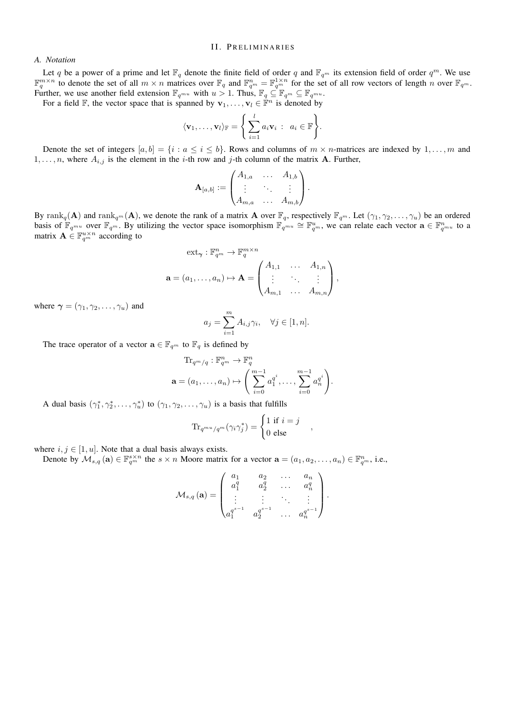# II. PRELIMINARIES

# *A. Notation*

Let q be a power of a prime and let  $\mathbb{F}_q$  denote the finite field of order q and  $\mathbb{F}_{q^m}$  its extension field of order  $q^m$ . We use  $\mathbb{F}_q^{m \times n}$  to denote the set of all  $m \times n$  matrices over  $\mathbb{F}_q$  and  $\mathbb{F}_{q^m}^n = \mathbb{F}_q^{1 \times n}$  for the set of all row vectors of length n over  $\mathbb{F}_{q^m}$ . Further, we use another field extension  $\mathbb{F}_{q^{mu}}$  with  $u > 1$ . Thus,  $\mathbb{F}_{q} \subseteq \mathbb{F}_{q^{m}} \subseteq \mathbb{F}_{q^{mu}}$ .

For a field F, the vector space that is spanned by  $\mathbf{v}_1, \dots, \mathbf{v}_l \in \mathbb{F}^n$  is denoted by

$$
\langle \mathbf{v}_1, \ldots, \mathbf{v}_l \rangle_{\mathbb{F}} = \left\{ \sum_{i=1}^l a_i \mathbf{v}_i : a_i \in \mathbb{F} \right\}.
$$

Denote the set of integers  $[a, b] = \{i : a \le i \le b\}$ . Rows and columns of  $m \times n$ -matrices are indexed by  $1, \ldots, m$  and  $1, \ldots, n$ , where  $A_{i,j}$  is the element in the *i*-th row and *j*-th column of the matrix **A**. Further,

$$
\mathbf{A}_{[a,b]} := \begin{pmatrix} A_{1,a} & \dots & A_{1,b} \\ \vdots & \ddots & \vdots \\ A_{m,a} & \dots & A_{m,b} \end{pmatrix}.
$$

By rank $_q(\mathbf{A})$  and rank $_{q^m}(\mathbf{A})$ , we denote the rank of a matrix  $\mathbf{A}$  over  $\mathbb{F}_q$ , respectively  $\mathbb{F}_{q^m}$ . Let  $(\gamma_1, \gamma_2, \ldots, \gamma_u)$  be an ordered basis of  $\mathbb{F}_{q^{mu}}$  over  $\mathbb{F}_{q^m}$ . By utilizing the vector space isomorphism  $\mathbb{F}_{q^{mu}} \cong \mathbb{F}_{q^m}^u$ , we can relate each vector  $\mathbf{a} \in \mathbb{F}_{q^{mu}}^n$  to a matrix  $\mathbf{A} \in \mathbb{F}_{q^m}^{u \times n}$  according to

$$
\operatorname{ext}_{\gamma}: \mathbb{F}_{q^m}^n \to \mathbb{F}_q^{m \times n}
$$

$$
\mathbf{a} = (a_1, \dots, a_n) \mapsto \mathbf{A} = \begin{pmatrix} A_{1,1} & \dots & A_{1,n} \\ \vdots & \ddots & \vdots \\ A_{m,1} & \dots & A_{m,n} \end{pmatrix},
$$

where  $\gamma = (\gamma_1, \gamma_2, \dots, \gamma_u)$  and

$$
a_j = \sum_{i=1}^m A_{i,j} \gamma_i, \quad \forall j \in [1, n].
$$

The trace operator of a vector  $\mathbf{a} \in \mathbb{F}_{q^m}$  to  $\mathbb{F}_q$  is defined by

$$
\mathrm{Tr}_{q^m/q}: \mathbb{F}_{q^m}^n \to \mathbb{F}_q^n
$$
  

$$
\mathbf{a} = (a_1, \dots, a_n) \mapsto \left(\sum_{i=0}^{m-1} a_1^{q^i}, \dots, \sum_{i=0}^{m-1} a_n^{q^i}\right).
$$

A dual basis  $(\gamma_1^*, \gamma_2^*, \dots, \gamma_u^*)$  to  $(\gamma_1, \gamma_2, \dots, \gamma_u)$  is a basis that fulfills

$$
\text{Tr}_{q^{mu}/q^{m}}(\gamma_{i}\gamma_{j}^{*}) = \begin{cases} 1 \text{ if } i = j \\ 0 \text{ else} \end{cases}
$$

,

where  $i, j \in [1, u]$ . Note that a dual basis always exists.

Denote by  $\mathcal{M}_{s,q}(\mathbf{a}) \in \mathbb{F}_{q^m}^{s \times n}$  the  $s \times n$  Moore matrix for a vector  $\mathbf{a} = (a_1, a_2, \dots, a_n) \in \mathbb{F}_{q^m}^n$ , i.e.,

$$
\mathcal{M}_{s,q}(\mathbf{a}) = \begin{pmatrix} a_1 & a_2 & \dots & a_n \\ a_1^q & a_2^q & \dots & a_n^q \\ \vdots & \vdots & \ddots & \vdots \\ a_1^{q^{s-1}} & a_2^{q^{s-1}} & \dots & a_n^{q^{s-1}} \end{pmatrix}.
$$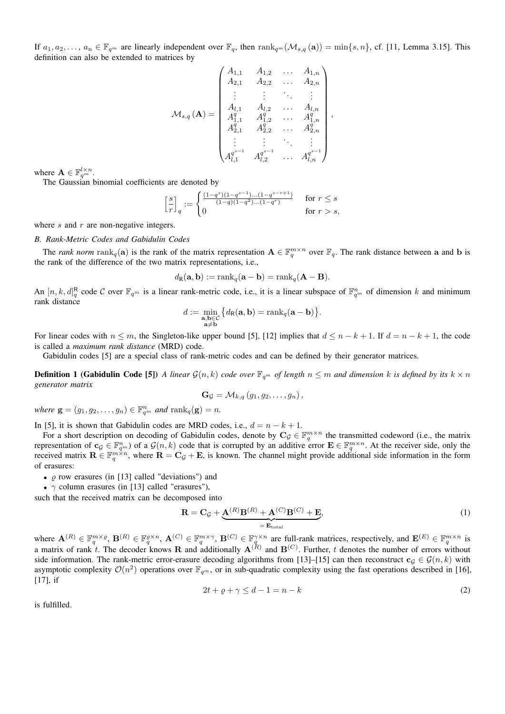If  $a_1, a_2, \ldots, a_n \in \mathbb{F}_{q^m}$  are linearly independent over  $\mathbb{F}_q$ , then  $\text{rank}_{q^m}(\mathcal{M}_{s,q}(\mathbf{a})) = \min\{s, n\}$ , cf. [11, Lemma 3.15]. This definition can also be extended to matrices by

$$
\mathcal{M}_{s,q}\left(\mathbf{A}\right) = \begin{pmatrix} A_{1,1} & A_{1,2} & \dots & A_{1,n} \\ A_{2,1} & A_{2,2} & \dots & A_{2,n} \\ \vdots & \vdots & \ddots & \vdots \\ A_{l,1} & A_{l,2} & \dots & A_{l,n} \\ A_{1,1}^q & A_{1,2}^q & \dots & A_{1,n}^q \\ A_{2,1}^q & A_{2,2}^q & \dots & A_{2,n}^q \\ \vdots & \vdots & \ddots & \vdots \\ A_{l,1}^{q^{s-1}} & A_{l,2}^{q^{s-1}} & \dots & A_{l,n}^{q^{s-1}} \end{pmatrix},
$$

where  $\mathbf{A} \in \mathbb{F}_{q^m}^{l \times n}$ .

The Gaussian binomial coefficients are denoted by

$$
\left[ \frac{s}{r} \right]_q := \begin{cases} \frac{(1-q^s)(1-q^{s-1})...(1-q^{s-r+1})}{(1-q)(1-q^2)...(1-q^r)} & \text{ for } r \leq s \\ 0 & \text{ for } r > s, \end{cases}
$$

where  $s$  and  $r$  are non-negative integers.

## *B. Rank-Metric Codes and Gabidulin Codes*

The *rank norm*  $\text{rank}_q(\mathbf{a})$  is the rank of the matrix representation  $\mathbf{A} \in \mathbb{F}_q^{m \times n}$  over  $\mathbb{F}_q$ . The rank distance between a and b is the rank of the difference of the two matrix representations, i.e.,

$$
d_{\mathbf{R}}(\mathbf{a}, \mathbf{b}) := \text{rank}_{q}(\mathbf{a} - \mathbf{b}) = \text{rank}_{q}(\mathbf{A} - \mathbf{B}).
$$

An  $[n, k, d]_q^R$  code C over  $\mathbb{F}_{q^m}$  is a linear rank-metric code, i.e., it is a linear subspace of  $\mathbb{F}_{q^m}^n$  of dimension k and minimum rank distance

$$
d := \min_{\substack{\mathbf{a}, \mathbf{b} \in C \\ \mathbf{a} \neq \mathbf{b}}} \big\{ d_{\mathsf{R}}(\mathbf{a}, \mathbf{b}) = \operatorname{rank}_{q}(\mathbf{a} - \mathbf{b}) \big\}.
$$

For linear codes with  $n \leq m$ , the Singleton-like upper bound [5], [12] implies that  $d \leq n - k + 1$ . If  $d = n - k + 1$ , the code is called a *maximum rank distance* (MRD) code.

Gabidulin codes [5] are a special class of rank-metric codes and can be defined by their generator matrices.

**Definition 1 (Gabidulin Code [5])** *A linear*  $\mathcal{G}(n,k)$  *code over*  $\mathbb{F}_{q^m}$  *of length*  $n \leq m$  *and dimension* k *is defined by its*  $k \times n$ *generator matrix*

$$
\mathbf{G}_{\mathcal{G}} = \mathcal{M}_{k,q} (g_1, g_2, \ldots, g_n),
$$

*where*  $\mathbf{g} = (g_1, g_2, \dots, g_n) \in \mathbb{F}_{q^m}^n$  *and*  $\text{rank}_q(\mathbf{g}) = n$ *.* 

In [5], it is shown that Gabidulin codes are MRD codes, i.e.,  $d = n - k + 1$ .

For a short description on decoding of Gabidulin codes, denote by  $C_{\mathcal{G}} \in \mathbb{F}_q^{m \times n}$  the transmitted codeword (i.e., the matrix representation of  $\mathbf{c}_\mathcal{G} \in \mathbb{F}_{q^m}^n$  of a  $\mathcal{G}(n,k)$  code that is corrupted by an additive error  $\mathbf{E} \in \mathbb{F}_q^{m \times n}$ . At the receiver side, only the received matrix  $\mathbf{R} \in \mathbb{F}_q^{m \times n}$ , where  $\mathbf{R} = \mathbf{C}_\mathcal{G} + \mathbf{E}$ , is known. The channel might provide additional side information in the form of erasures:

- $\varrho$  row erasures (in [13] called "deviations") and
- $\gamma$  column erasures (in [13] called "erasures"),

such that the received matrix can be decomposed into

$$
\mathbf{R} = \mathbf{C}_{\mathcal{G}} + \underbrace{\mathbf{A}^{(R)}\mathbf{B}^{(R)} + \mathbf{A}^{(C)}\mathbf{B}^{(C)} + \mathbf{E}}_{=\mathbf{E}_{\text{total}}},\tag{1}
$$

where  $\mathbf{A}^{(R)} \in \mathbb{F}_q^{m \times \varrho}, \mathbf{B}^{(R)} \in \mathbb{F}_q^{\varrho \times n}, \mathbf{A}^{(C)} \in \mathbb{F}_q^{m \times \gamma}, \mathbf{B}^{(C)} \in \mathbb{F}_q^{\gamma \times n}$  are full-rank matrices, respectively, and  $\mathbf{E}^{(E)} \in \mathbb{F}_q^{m \times n}$  is a matrix of rank t. The decoder knows **R** and additionally  $A^{(R)}$  and  $B^{(C)}$ . Further, t denotes the number of errors without side information. The rank-metric error-erasure decoding algorithms from [13]–[15] can then reconstruct  $c_g \in \mathcal{G}(n,k)$  with asymptotic complexity  $\mathcal{O}(n^2)$  operations over  $\mathbb{F}_{q^m}$ , or in sub-quadratic complexity using the fast operations described in [16], [17], if

$$
2t + \varrho + \gamma \le d - 1 = n - k \tag{2}
$$

is fulfilled.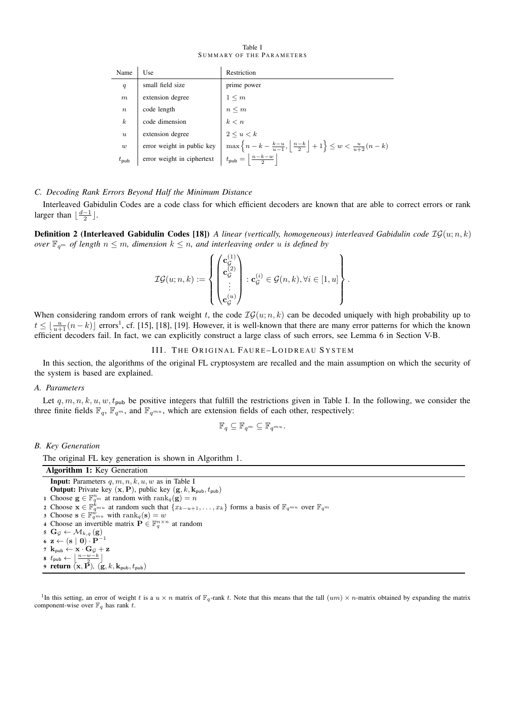Table I SUMMARY OF THE PARAMETERS

| Name             | Use                        | Restriction                                                                                         |
|------------------|----------------------------|-----------------------------------------------------------------------------------------------------|
| q                | small field size           | prime power                                                                                         |
| $_{m}$           | extension degree           | $1\leq m$                                                                                           |
| $\boldsymbol{n}$ | code length                | $n\leq m$                                                                                           |
| $\boldsymbol{k}$ | code dimension             | $\begin{aligned} k < n \\ 2 \le u < k \end{aligned}$                                                |
| $\boldsymbol{u}$ | extension degree           |                                                                                                     |
| $\boldsymbol{w}$ | error weight in public key | $\max\left\{n-k-\tfrac{k-u}{u-1},\,\left \tfrac{n-k}{2}\right +1\right\}\leq w<\tfrac{u}{u+2}(n-k)$ |
| $t_{\text{pub}}$ | error weight in ciphertext | $t_{\text{pub}} = \left  \frac{n-k-w}{2} \right $                                                   |

# *C. Decoding Rank Errors Beyond Half the Minimum Distance*

Interleaved Gabidulin Codes are a code class for which efficient decoders are known that are able to correct errors or rank larger than  $\lfloor \frac{d-1}{2} \rfloor$ .

**Definition 2 (Interleaved Gabidulin Codes [18])** *A linear (vertically, homogeneous) interleaved Gabidulin code*  $IG(u; n, k)$ *over*  $\mathbb{F}_{q^m}$  *of length*  $n \leq m$ *, dimension*  $k \leq n$ *, and interleaving order u is defined by* 

$$
\mathcal{IG}(u;n,k) := \left\{ \begin{pmatrix} \mathbf{c}_{\mathcal{G}}^{(1)} \\ \mathbf{c}_{\mathcal{G}}^{(2)} \\ \vdots \\ \mathbf{c}_{\mathcal{G}}^{(u)} \end{pmatrix} : \mathbf{c}_{\mathcal{G}}^{(i)} \in \mathcal{G}(n,k), \forall i \in [1,u] \right\}.
$$

When considering random errors of rank weight t, the code  $IG(u; n, k)$  can be decoded uniquely with high probability up to  $t \leq \lfloor \frac{u}{u+1} (n-k) \rfloor$  errors<sup>1</sup>, cf. [15], [18], [19]. However, it is well-known that there are many error patterns for which the known efficient decoders fail. In fact, we can explicitly construct a large class of such errors, see Lemma 6 in Section V-B.

III. THE ORIGINAL FAURE-LOIDREAU SYSTEM

In this section, the algorithms of the original FL cryptosystem are recalled and the main assumption on which the security of the system is based are explained.

## *A. Parameters*

Let  $q, m, n, k, u, w, t_{pub}$  be positive integers that fulfill the restrictions given in Table I. In the following, we consider the three finite fields  $\mathbb{F}_q$ ,  $\mathbb{F}_{q^m}$ , and  $\mathbb{F}_{q^{mu}}$ , which are extension fields of each other, respectively:

$$
\mathbb{F}_q \subseteq \mathbb{F}_{q^m} \subseteq \mathbb{F}_{q^{mu}}.
$$

# *B. Key Generation*

The original FL key generation is shown in Algorithm 1.

| <b>Algorithm 1:</b> Key Generation                                                                                                                          |
|-------------------------------------------------------------------------------------------------------------------------------------------------------------|
| <b>Input:</b> Parameters $q, m, n, k, u, w$ as in Table I                                                                                                   |
| <b>Output:</b> Private key $(x, P)$ , public key $(g, k, k_{\text{pub}}, t_{\text{pub}})$                                                                   |
| 1 Choose $\mathbf{g} \in \mathbb{F}_{q^m}^n$ at random with $\text{rank}_q(\mathbf{g}) = n$                                                                 |
| 2 Choose $\mathbf{x} \in \mathbb{F}_{qmu}^{k}$ at random such that $\{x_{k-u+1}, \ldots, x_k\}$ forms a basis of $\mathbb{F}_{qmu}$ over $\mathbb{F}_{q^m}$ |
| 3 Choose $\mathbf{s} \in \mathbb{F}_{q^{mu}}^w$ with $\text{rank}_q(\mathbf{s}) = w$                                                                        |
| 4 Choose an invertible matrix $\mathbf{P} \in \mathbb{F}_q^{n \times n}$ at random                                                                          |
| 5 G <sub>G</sub> $\leftarrow$ $\mathcal{M}_{k,q}$ (g)                                                                                                       |
| 6 $z \leftarrow (s   0) \cdot P^{-1}$                                                                                                                       |
| 7 $\mathbf{k}_{\text{pub}} \leftarrow \mathbf{x} \cdot \mathbf{G}_{\mathcal{G}} + \mathbf{z}$                                                               |
| 8 $t_{\text{pub}} \leftarrow \left\lfloor \frac{n-w-k}{2} \right\rfloor$                                                                                    |
| 9 return $(\mathbf{x}, \mathbf{P})$ , $(\mathbf{g}, k, \mathbf{k}_{\text{pub}}, t_{\text{pub}})$                                                            |

<sup>1</sup>In this setting, an error of weight t is a  $u \times n$  matrix of  $\mathbb{F}_q$ -rank t. Note that this means that the tall  $(um) \times n$ -matrix obtained by expanding the matrix component-wise over  $\mathbb{F}_q$  has rank t.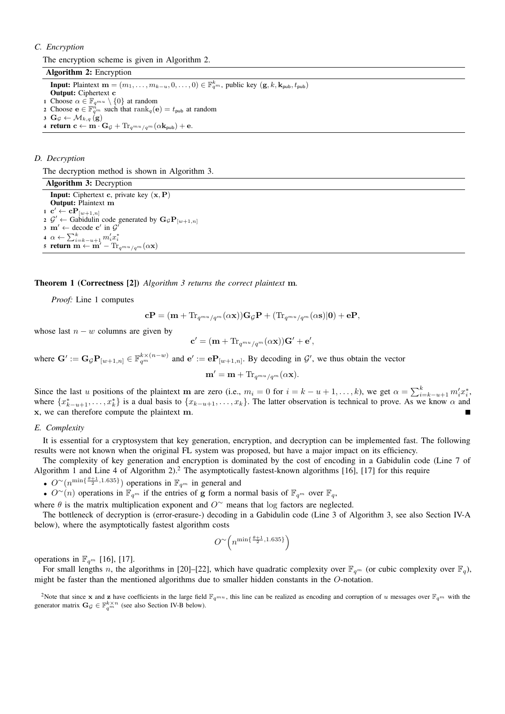# *C. Encryption*

The encryption scheme is given in Algorithm 2.

Algorithm 2: Encryption **Input:** Plaintext  $\mathbf{m} = (m_1, \ldots, m_{k-u}, 0, \ldots, 0) \in \mathbb{F}_{q^m}^k$ , public key  $(\mathbf{g}, k, \mathbf{k}_{\text{pub}}, t_{\text{pub}})$ Output: Ciphertext c 1 Choose  $\alpha \in \mathbb{F}_{q^{mu}} \setminus \{0\}$  at random 2 Choose  $\mathbf{e} \in \mathbb{F}_{q^m}^n$  such that  $\text{rank}_q(\mathbf{e}) = t_{\text{pub}}$  at random 3 Gg  $\leftarrow$   $\mathcal{M}_{k,q}(\mathbf{g})$ 4 return  $c \leftarrow m \cdot G_{\mathcal{G}} + Tr_{a^{mu}/a^{m}}(\alpha k_{pub}) + e$ .

## *D. Decryption*

The decryption method is shown in Algorithm 3.

Algorithm 3: Decryption **Input:** Ciphertext c, private key  $(x, P)$ Output: Plaintext m  $\mathbf{1} \ \ \mathbf{c}' \leftarrow \mathbf{c} \mathbf{P}_{[w+1,n]}$ 2  $\mathcal{G}' \leftarrow$  Gabidulin code generated by  $\mathbf{G}_{\mathcal{G}} \mathbf{P}_{[w+1,n]}$  $\mathbf{s} \cdot \mathbf{m}' \leftarrow \text{decode } \mathbf{c}' \text{ in } \mathcal{G}$ 4  $\alpha \leftarrow \sum_{i=k-u+1}^{k} m_i' x_i^*$ 5 return m  $\leftarrow$  m' – Tr<sub>qmu /qm</sub>( $\alpha$ x)

# Theorem 1 (Correctness [2]) *Algorithm 3 returns the correct plaintext* m*.*

*Proof:* Line 1 computes

$$
\mathbf{c}\mathbf{P} = (\mathbf{m} + \text{Tr}_{q^{mu}/q^m}(\alpha \mathbf{x}))\mathbf{G}_{\mathcal{G}}\mathbf{P} + (\text{Tr}_{q^{mu}/q^m}(\alpha \mathbf{s})|\mathbf{0}) + \mathbf{e}\mathbf{P},
$$

whose last  $n - w$  columns are given by

$$
\mathbf{c}' = (\mathbf{m} + \text{Tr}_{q^{mu}/q^{m}}(\alpha \mathbf{x}))\mathbf{G}' + \mathbf{e}',
$$

where  $\mathbf{G}' := \mathbf{G}_{\mathcal{G}} \mathbf{P}_{[w+1,n]} \in \mathbb{F}_{q^m}^{k \times (n-w)}$  and  $\mathbf{e}' := \mathbf{e} \mathbf{P}_{[w+1,n]}$ . By decoding in  $\mathcal{G}'$ , we thus obtain the vector

$$
\mathbf{m}' = \mathbf{m} + \text{Tr}_{q^{mu}/q^{m}}(\alpha \mathbf{x}).
$$

Since the last u positions of the plaintext m are zero (i.e.,  $m_i = 0$  for  $i = k - u + 1, \ldots, k$ ), we get  $\alpha = \sum_{i=k-u+1}^{k} m'_i x_i^*$ , where  $\{x_{k-u+1}^*,\ldots,x_k^*\}$  is a dual basis to  $\{x_{k-u+1},\ldots,x_k\}$ . The latter observation is technical to prove. As we know  $\alpha$  and x, we can therefore compute the plaintext m.

## *E. Complexity*

It is essential for a cryptosystem that key generation, encryption, and decryption can be implemented fast. The following results were not known when the original FL system was proposed, but have a major impact on its efficiency.

The complexity of key generation and encryption is dominated by the cost of encoding in a Gabidulin code (Line 7 of Algorithm 1 and Line 4 of Algorithm 2).<sup>2</sup> The asymptotically fastest-known algorithms [16], [17] for this require

•  $O^{\sim}(n^{\min\{\frac{\theta+1}{2},1.635\}})$  operations in  $\mathbb{F}_{q^m}$  in general and

•  $O^{\sim}(n)$  operations in  $\mathbb{F}_{q^m}$  if the entries of g form a normal basis of  $\mathbb{F}_{q^m}$  over  $\mathbb{F}_q$ ,

where  $\theta$  is the matrix multiplication exponent and  $O^{\sim}$  means that log factors are neglected.

The bottleneck of decryption is (error-erasure-) decoding in a Gabidulin code (Line 3 of Algorithm 3, see also Section IV-A below), where the asymptotically fastest algorithm costs

$$
O^{\sim}\left(n^{\min\{\frac{\theta+1}{2},1.635\}}\right)
$$

operations in  $\mathbb{F}_{q^m}$  [16], [17].

For small lengths n, the algorithms in [20]–[22], which have quadratic complexity over  $\mathbb{F}_{q^m}$  (or cubic complexity over  $\mathbb{F}_q$ ), might be faster than the mentioned algorithms due to smaller hidden constants in the O-notation.

<sup>&</sup>lt;sup>2</sup>Note that since x and z have coefficients in the large field  $\mathbb{F}_{q^m}$ , this line can be realized as encoding and corruption of u messages over  $\mathbb{F}_{q^m}$  with the generator matrix  $\mathbf{G}_{\mathcal{G}} \in \mathbb{F}_{q^m}^{k \times n}$  (see also Section IV-B below).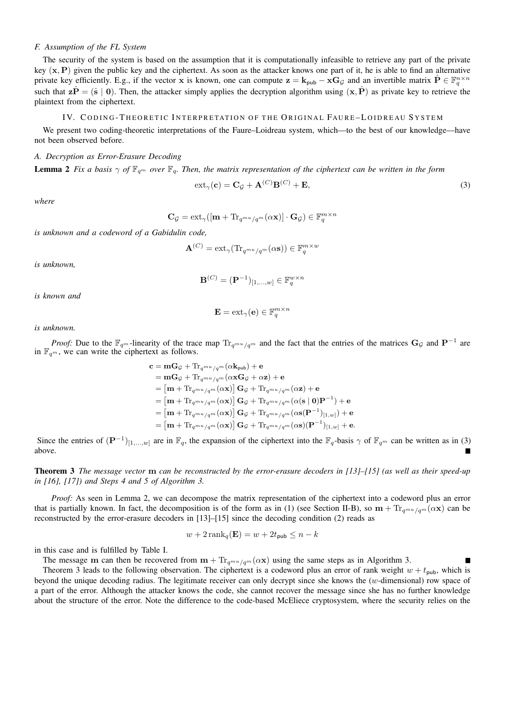# *F. Assumption of the FL System*

The security of the system is based on the assumption that it is computationally infeasible to retrieve any part of the private key  $(x, P)$  given the public key and the ciphertext. As soon as the attacker knows one part of it, he is able to find an alternative private key efficiently. E.g., if the vector x is known, one can compute  $z = k_{pub} - xG_\mathcal{G}$  and an invertible matrix  $\hat{P} \in \mathbb{F}_q^{n \times n}$ such that  $z\hat{P} = (\hat{s} \mid 0)$ . Then, the attacker simply applies the decryption algorithm using  $(x, \hat{P})$  as private key to retrieve the plaintext from the ciphertext.

## IV. CODING-THEORETIC INTERPRETATION OF THE ORIGINAL FAURE-LOIDREAU SYSTEM

We present two coding-theoretic interpretations of the Faure–Loidreau system, which—to the best of our knowledge—have not been observed before.

## *A. Decryption as Error-Erasure Decoding*

**Lemma 2** Fix a basis  $\gamma$  of  $\mathbb{F}_{q^m}$  over  $\mathbb{F}_q$ . Then, the matrix representation of the ciphertext can be written in the form

$$
ext_{\gamma}(\mathbf{c}) = \mathbf{C}_{\mathcal{G}} + \mathbf{A}^{(C)} \mathbf{B}^{(C)} + \mathbf{E},
$$
\n(3)

*where*

$$
\mathbf{C}_{\mathcal{G}} = \mathrm{ext}_{\gamma}([\mathbf{m} + \mathrm{Tr}_{q^{mu}/q^{m}}(\alpha \mathbf{x})] \cdot \mathbf{G}_{\mathcal{G}}) \in \mathbb{F}_{q}^{m \times n}
$$

*is unknown and a codeword of a Gabidulin code,*

$$
\mathbf{A}^{(C)}=\text{ext}_{\gamma}(\text{Tr}_{q^{mu}/q^m}(\alpha \mathbf{s}))\in \mathbb{F}_q^{m\times w}
$$

*is unknown,*

$$
\mathbf{B}^{(C)} = (\mathbf{P}^{-1})_{[1,\ldots,w]} \in \mathbb{F}_q^{w \times n}
$$

*is known and*

$$
\mathbf{E} = \text{ext}_{\gamma}(\mathbf{e}) \in \mathbb{F}_q^{m \times n}
$$

*is unknown.*

*Proof:* Due to the  $\mathbb{F}_{q^m}$ -linearity of the trace map  $\text{Tr}_{q^{mu}/q^m}$  and the fact that the entries of the matrices  $\mathbf{G}_{\mathcal{G}}$  and  $\mathbf{P}^{-1}$  are in  $\mathbb{F}_{q^m}$ , we can write the ciphertext as follows.

$$
\begin{aligned} \mathbf{c} &= \mathbf{m}\mathbf{G}_{\mathcal{G}} + \mathrm{Tr}_{q^{mu}/q^{m}}(\alpha\mathbf{k}_{\text{pub}}) + \mathbf{e} \\ &= \mathbf{m}\mathbf{G}_{\mathcal{G}} + \mathrm{Tr}_{q^{mu}/q^{m}}(\alpha\mathbf{x}\mathbf{G}_{\mathcal{G}} + \alpha\mathbf{z}) + \mathbf{e} \\ &= \left[\mathbf{m} + \mathrm{Tr}_{q^{mu}/q^{m}}(\alpha\mathbf{x})\right]\mathbf{G}_{\mathcal{G}} + \mathrm{Tr}_{q^{mu}/q^{m}}(\alpha\mathbf{z}) + \mathbf{e} \\ &= \left[\mathbf{m} + \mathrm{Tr}_{q^{mu}/q^{m}}(\alpha\mathbf{x})\right]\mathbf{G}_{\mathcal{G}} + \mathrm{Tr}_{q^{mu}/q^{m}}(\alpha(\mathbf{s} \mid \mathbf{0})\mathbf{P}^{-1}) + \mathbf{e} \\ &= \left[\mathbf{m} + \mathrm{Tr}_{q^{mu}/q^{m}}(\alpha\mathbf{x})\right]\mathbf{G}_{\mathcal{G}} + \mathrm{Tr}_{q^{mu}/q^{m}}(\alpha\mathbf{s}(\mathbf{P}^{-1})_{[1,w]}) + \mathbf{e} \\ &= \left[\mathbf{m} + \mathrm{Tr}_{q^{mu}/q^{m}}(\alpha\mathbf{x})\right]\mathbf{G}_{\mathcal{G}} + \mathrm{Tr}_{q^{mu}/q^{m}}(\alpha\mathbf{s})(\mathbf{P}^{-1})_{[1,w]} + \mathbf{e} .\end{aligned}
$$

Since the entries of  $(\mathbf{P}^{-1})_{[1,...,w]}$  are in  $\mathbb{F}_q$ , the expansion of the ciphertext into the  $\mathbb{F}_q$ -basis  $\gamma$  of  $\mathbb{F}_{q^m}$  can be written as in (3) above.

Theorem 3 *The message vector* m *can be reconstructed by the error-erasure decoders in [13]–[15] (as well as their speed-up in [16], [17]) and Steps 4 and 5 of Algorithm 3.*

*Proof:* As seen in Lemma 2, we can decompose the matrix representation of the ciphertext into a codeword plus an error that is partially known. In fact, the decomposition is of the form as in (1) (see Section II-B), so  $\mathbf{m} + \text{Tr}_{q^m u / q^m}(\alpha \mathbf{x})$  can be reconstructed by the error-erasure decoders in [13]–[15] since the decoding condition (2) reads as

$$
w + 2\operatorname{rank}_{q}(\mathbf{E}) = w + 2t_{\text{pub}} \leq n - k
$$

in this case and is fulfilled by Table I.

The message m can then be recovered from  $m + Tr_{q^{mu}/q^{m}}(\alpha x)$  using the same steps as in Algorithm 3.  $\blacksquare$ 

Theorem 3 leads to the following observation. The ciphertext is a codeword plus an error of rank weight  $w + t_{\text{pub}}$ , which is beyond the unique decoding radius. The legitimate receiver can only decrypt since she knows the (w-dimensional) row space of a part of the error. Although the attacker knows the code, she cannot recover the message since she has no further knowledge about the structure of the error. Note the difference to the code-based McEliece cryptosystem, where the security relies on the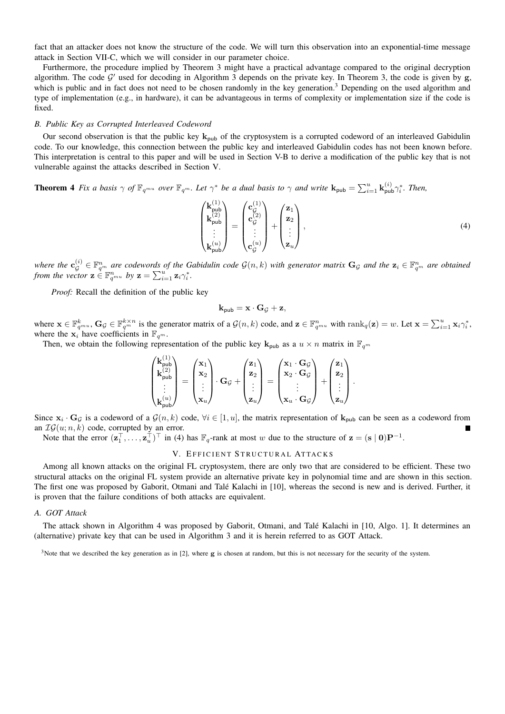fact that an attacker does not know the structure of the code. We will turn this observation into an exponential-time message attack in Section VII-C, which we will consider in our parameter choice.

Furthermore, the procedure implied by Theorem 3 might have a practical advantage compared to the original decryption algorithm. The code  $G'$  used for decoding in Algorithm 3 depends on the private key. In Theorem 3, the code is given by g, which is public and in fact does not need to be chosen randomly in the key generation.<sup>3</sup> Depending on the used algorithm and type of implementation (e.g., in hardware), it can be advantageous in terms of complexity or implementation size if the code is fixed.

## *B. Public Key as Corrupted Interleaved Codeword*

Our second observation is that the public key  $k_{pub}$  of the cryptosystem is a corrupted codeword of an interleaved Gabidulin code. To our knowledge, this connection between the public key and interleaved Gabidulin codes has not been known before. This interpretation is central to this paper and will be used in Section V-B to derive a modification of the public key that is not vulnerable against the attacks described in Section V.

**Theorem 4** Fix a basis  $\gamma$  of  $\mathbb{F}_{q^{m_u}}$  over  $\mathbb{F}_{q^m}$ . Let  $\gamma^*$  be a dual basis to  $\gamma$  and write  $\mathbf{k}_{\text{pub}} = \sum_{i=1}^u \mathbf{k}_{\text{pub}}^{(i)} \gamma_i^*$ . Then,

$$
\begin{pmatrix}\n\mathbf{k}_{\text{pub}}^{(1)} \\
\mathbf{k}_{\text{pub}}^{(2)} \\
\vdots \\
\mathbf{k}_{\text{pub}}^{(u)}\n\end{pmatrix} = \begin{pmatrix}\n\mathbf{c}_{\mathcal{G}}^{(1)} \\
\mathbf{c}_{\mathcal{G}}^{(2)} \\
\vdots \\
\mathbf{c}_{\mathcal{G}}^{(u)}\n\end{pmatrix} + \begin{pmatrix}\n\mathbf{z}_{1} \\
\mathbf{z}_{2} \\
\vdots \\
\mathbf{z}_{u}\n\end{pmatrix},
$$
\n(4)

where the  $\mathbf{c}_G^{(i)} \in \mathbb{F}_{q^m}^n$  are codewords of the Gabidulin code  $\mathcal{G}(n,k)$  with generator matrix  $\mathbf{G}_\mathcal{G}$  and the  $\mathbf{z}_i \in \mathbb{F}_{q^m}^n$  are obtained *from the vector*  $\mathbf{z} \in \mathbb{F}_{q^{mu}}^n$  *by*  $\mathbf{z} = \sum_{i=1}^u \mathbf{z}_i \gamma_i^*$ *.* 

*Proof:* Recall the definition of the public key

$$
\mathbf{k}_{\mathsf{pub}} = \mathbf{x} \cdot \mathbf{G}_{\mathcal{G}} + \mathbf{z},
$$

where  $\mathbf{x} \in \mathbb{F}_{q^{mu}}^k$ ,  $\mathbf{G}_{\mathcal{G}} \in \mathbb{F}_{q^{m}}^{k \times n}$  is the generator matrix of a  $\mathcal{G}(n,k)$  code, and  $\mathbf{z} \in \mathbb{F}_{q^{mu}}^{n}$  with  $\text{rank}_{q}(\mathbf{z}) = w$ . Let  $\mathbf{x} = \sum_{i=1}^{u} \mathbf{x}_i \gamma_i^*$ , where the  $x_i^{\text{th}}$  have coefficients in  $\mathbb{F}_{q^m}$ .

Then, we obtain the following representation of the public key  $\mathbf{k}_{\text{pub}}$  as a  $u \times n$  matrix in  $\mathbb{F}_{q^m}$ 

$$
\begin{pmatrix} \mathbf{k}_{\text{pub}}^{(1)} \\ \mathbf{k}_{\text{pub}}^{(2)} \\ \vdots \\ \mathbf{k}_{\text{pub}}^{(u)} \end{pmatrix} = \begin{pmatrix} \mathbf{x}_1 \\ \mathbf{x}_2 \\ \vdots \\ \mathbf{x}_u \end{pmatrix} \cdot \mathbf{G}_{\mathcal{G}} + \begin{pmatrix} \mathbf{z}_1 \\ \mathbf{z}_2 \\ \vdots \\ \mathbf{z}_u \end{pmatrix} = \begin{pmatrix} \mathbf{x}_1 \cdot \mathbf{G}_{\mathcal{G}} \\ \mathbf{x}_2 \cdot \mathbf{G}_{\mathcal{G}} \\ \vdots \\ \mathbf{x}_u \cdot \mathbf{G}_{\mathcal{G}} \end{pmatrix} + \begin{pmatrix} \mathbf{z}_1 \\ \mathbf{z}_2 \\ \vdots \\ \mathbf{z}_u \end{pmatrix}.
$$

Since  $x_i \cdot G_{\mathcal{G}}$  is a codeword of a  $\mathcal{G}(n,k)$  code,  $\forall i \in [1,u]$ , the matrix representation of  $\mathbf{k}_{\text{pub}}$  can be seen as a codeword from an  $IG(u; n, k)$  code, corrupted by an error.

Note that the error  $(\mathbf{z}_1^\top, \ldots, \mathbf{z}_u^\top)^\top$  in (4) has  $\mathbb{F}_q$ -rank at most w due to the structure of  $\mathbf{z} = (\mathbf{s} \mid \mathbf{0}) \mathbf{P}^{-1}$ .

## V. EFFICIENT STRUCTURAL ATTACKS

Among all known attacks on the original FL cryptosystem, there are only two that are considered to be efficient. These two structural attacks on the original FL system provide an alternative private key in polynomial time and are shown in this section. The first one was proposed by Gaborit, Otmani and Talé Kalachi in [10], whereas the second is new and is derived. Further, it is proven that the failure conditions of both attacks are equivalent.

#### *A. GOT Attack*

The attack shown in Algorithm 4 was proposed by Gaborit, Otmani, and Talé Kalachi in [10, Algo. 1]. It determines an (alternative) private key that can be used in Algorithm 3 and it is herein referred to as GOT Attack.

 $3$ Note that we described the key generation as in [2], where g is chosen at random, but this is not necessary for the security of the system.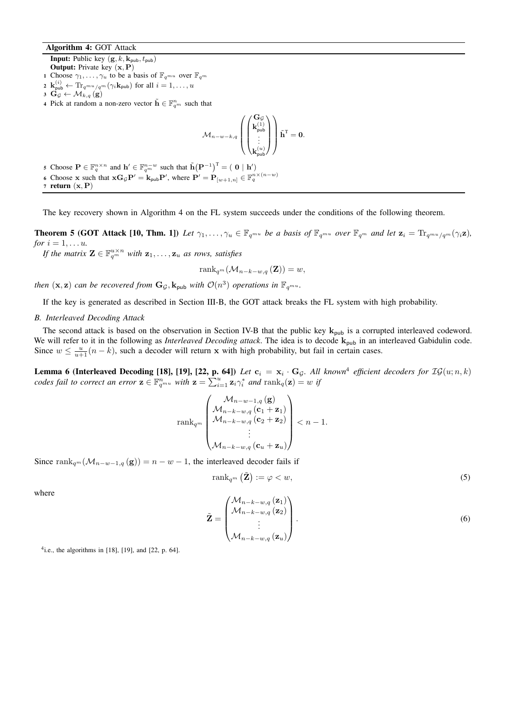# Algorithm 4: GOT Attack

**Input:** Public key  $(g, k, k_{pub}, t_{pub})$ Output: Private key (x, P)

- 1 Choose  $\gamma_1, \ldots, \gamma_u$  to be a basis of  $\mathbb{F}_{q^{mu}}$  over  $\mathbb{F}_{q^m}$
- $\mathbf{z} \ \ \mathbf{k}_{\mathsf{pub}}^{(i)} \leftarrow \text{Tr}_{q^{mu}/q^{m}}(\gamma_{i}\mathbf{k}_{\mathsf{pub}}) \ \text{for all} \ i=1,\ldots,u$
- 3 Gg  $\leftarrow$   $\mathcal{M}_{k,q}(\mathbf{g})$
- 4 Pick at random a non-zero vector  $\tilde{\mathbf{h}} \in \mathbb{F}_{q^m}^n$  such that

$$
\mathcal{M}_{n-w-k,q}\left(\left(\begin{matrix}\mathbf{G}_{\mathcal{G}}\\ \mathbf{k}_{\text{pub}}^{(1)}\\ \vdots\\ \mathbf{k}_{\text{pub}}^{(u)}\end{matrix}\right)\tilde{\mathbf{h}}^{\text{T}}=\mathbf{0}.
$$

5 Choose  $\mathbf{P} \in \mathbb{F}_q^{n \times n}$  and  $\mathbf{h}' \in \mathbb{F}_{q^m}^{n-w}$  such that  $\tilde{\mathbf{h}}(\mathbf{P}^{-1})^T = (\mathbf{0} \mid \mathbf{h}')$ 6 Choose x such that  $\mathbf{x} \mathbf{G}_{\mathcal{G}} \mathbf{P}' = \mathbf{k}_{\text{pub}} \mathbf{P}'$ , where  $\mathbf{P}' = \mathbf{P}_{[w+1,n]} \in \mathbb{F}_q^{n \times (n-w)}$ 7 return  $(x, P)$ 

The key recovery shown in Algorithm 4 on the FL system succeeds under the conditions of the following theorem.

**Theorem 5 (GOT Attack [10, Thm. 1])** Let  $\gamma_1, \ldots, \gamma_u \in \mathbb{F}_{q^{mu}}$  be a basis of  $\mathbb{F}_{q^{mu}}$  over  $\mathbb{F}_{q^m}$  and let  $\mathbf{z}_i = \text{Tr}_{q^{mu}/q^m}(\gamma_i \mathbf{z})$ , *for*  $i = 1, \ldots u$ *.* 

*If the matrix*  $\mathbf{Z} \in \mathbb{F}_{q^m}^{u \times n}$  with  $\mathbf{z}_1, \ldots, \mathbf{z}_u$  as rows, satisfies

rank<sub>q</sub>m( $\mathcal{M}_{n-k-w,q} (\mathbf{Z})$ ) = w,

*then*  $(\mathbf{x}, \mathbf{z})$  *can be recovered from*  $\mathbf{G}_{\mathcal{G}}, \mathbf{k}_{\text{pub}}$  *with*  $\mathcal{O}(n^3)$  *operations in*  $\mathbb{F}_{q^{mu}}$ .

If the key is generated as described in Section III-B, the GOT attack breaks the FL system with high probability.

### *B. Interleaved Decoding Attack*

The second attack is based on the observation in Section IV-B that the public key  $k_{pub}$  is a corrupted interleaved codeword. We will refer to it in the following as *Interleaved Decoding attack*. The idea is to decode  $k_{pub}$  in an interleaved Gabidulin code. Since  $w \leq \frac{u}{u+1} (n-k)$ , such a decoder will return x with high probability, but fail in certain cases.

**Lemma 6 (Interleaved Decoding [18], [19], [22, p. 64])** Let  $c_i = x_i \cdot G_\mathcal{G}$ . All known<sup>4</sup> efficient decoders for  $\mathcal{IG}(u; n, k)$ *codes fail to correct an error*  $\mathbf{z} \in \mathbb{F}_{q^{mu}}^n$  *with*  $\mathbf{z} = \sum_{i=1}^u \mathbf{z}_i \gamma_i^*$  *and*  $\text{rank}_q(\mathbf{z}) = w$  *if* 

$$
\operatorname{rank}_{q^m}\left(\begin{array}{l} \mathcal{M}_{n-w-1,q}\left(\mathbf{g}\right) \\ \mathcal{M}_{n-k-w,q}\left(\mathbf{c}_1+\mathbf{z}_1\right) \\ \mathcal{M}_{n-k-w,q}\left(\mathbf{c}_2+\mathbf{z}_2\right) \\ \vdots \\ \mathcal{M}_{n-k-w,q}\left(\mathbf{c}_u+\mathbf{z}_u\right)\end{array}\right) < n-1.
$$

Since rank<sub>q</sub>m( $\mathcal{M}_{n-w-1,q}$  (g)) = n − w − 1, the interleaved decoder fails if

$$
\operatorname{rank}_{q^m} \left( \tilde{\mathbf{Z}} \right) := \varphi < w,\tag{5}
$$

where

$$
\tilde{\mathbf{Z}} = \begin{pmatrix} \mathcal{M}_{n-k-w,q} (\mathbf{z}_1) \\ \mathcal{M}_{n-k-w,q} (\mathbf{z}_2) \\ \vdots \\ \mathcal{M}_{n-k-w,q} (\mathbf{z}_u) \end{pmatrix} .
$$
 (6)

 $4$ i.e., the algorithms in [18], [19], and [22, p. 64].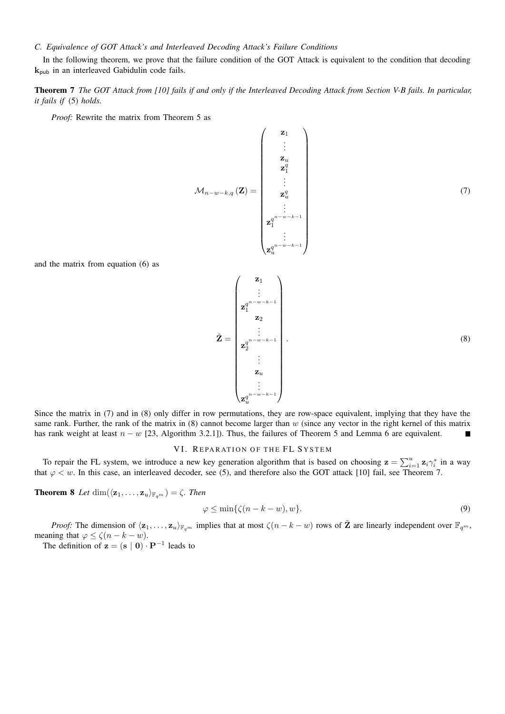# *C. Equivalence of GOT Attack's and Interleaved Decoding Attack's Failure Conditions*

In the following theorem, we prove that the failure condition of the GOT Attack is equivalent to the condition that decoding  $k_{\text{pub}}$  in an interleaved Gabidulin code fails.

# Theorem 7 *The GOT Attack from [10] fails if and only if the Interleaved Decoding Attack from Section V-B fails. In particular, it fails if* (5) *holds.*

*Proof:* Rewrite the matrix from Theorem 5 as

$$
\mathcal{M}_{n-w-k,q}(\mathbf{Z}) = \begin{pmatrix} \mathbf{z}_1 \\ \vdots \\ \mathbf{z}_u \\ \mathbf{z}_1^q \\ \vdots \\ \mathbf{z}_u^q \\ \vdots \\ \mathbf{z}_1^{q^{n-w-k-1}} \\ \vdots \\ \mathbf{z}_u^{q^{n-w-k-1}} \end{pmatrix} \tag{7}
$$

and the matrix from equation (6) as

$$
\tilde{\mathbf{Z}} = \begin{pmatrix} \mathbf{z}_1 \\ \vdots \\ \mathbf{z}_1^{q^{n-w-k-1}} \\ \mathbf{z}_2 \\ \vdots \\ \mathbf{z}_2^{q^{n-w-k-1}} \\ \vdots \\ \mathbf{z}_u \\ \mathbf{z}_u \\ \vdots \\ \mathbf{z}_u^{q^{n-w-k-1}} \end{pmatrix} \tag{8}
$$

Since the matrix in (7) and in (8) only differ in row permutations, they are row-space equivalent, implying that they have the same rank. Further, the rank of the matrix in  $(8)$  cannot become larger than w (since any vector in the right kernel of this matrix has rank weight at least  $n - w$  [23, Algorithm 3.2.1]). Thus, the failures of Theorem 5 and Lemma 6 are equivalent.  $\blacksquare$ 

# VI. REPARATION OF THE FL SYSTEM

To repair the FL system, we introduce a new key generation algorithm that is based on choosing  $z = \sum_{i=1}^{u} z_i \gamma_i^*$  in a way that  $\varphi \leq w$ . In this case, an interleaved decoder, see (5), and therefore also the GOT attack [10] fail, see Theorem 7.

**Theorem 8** *Let* dim $(\langle \mathbf{z}_1, \ldots, \mathbf{z}_u \rangle_{\mathbb{F}_{q^m}}) = \zeta$ *. Then* 

$$
\varphi \le \min\{\zeta(n-k-w), w\}.\tag{9}
$$

*Proof:* The dimension of  $\langle \mathbf{z}_1, \ldots, \mathbf{z}_u \rangle_{\mathbb{F}_{q^m}}$  implies that at most  $\zeta(n - k - w)$  rows of  $\tilde{\mathbf{Z}}$  are linearly independent over  $\mathbb{F}_{q^m}$ , meaning that  $\varphi \leq \zeta(n-k-w)$ .

The definition of  $z = (s | 0) \cdot P^{-1}$  leads to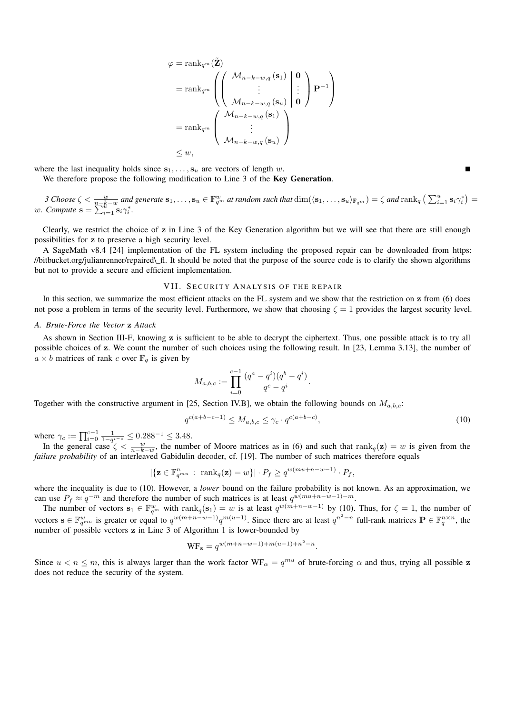$$
\varphi = \operatorname{rank}_{q^m} (\tilde{\mathbf{Z}})
$$
\n
$$
= \operatorname{rank}_{q^m} \left( \left( \begin{array}{c} \mathcal{M}_{n-k-w,q} \left( \mathbf{s}_1 \right) & \mathbf{0} \\ \vdots & \vdots \\ \mathcal{M}_{n-k-w,q} \left( \mathbf{s}_u \right) & \mathbf{0} \end{array} \right) \mathbf{P}^{-1} \right)
$$
\n
$$
= \operatorname{rank}_{q^m} \left( \begin{array}{c} \mathcal{M}_{n-k-w,q} \left( \mathbf{s}_1 \right) \\ \vdots \\ \mathcal{M}_{n-k-w,q} \left( \mathbf{s}_u \right) \end{array} \right)
$$
\n
$$
\leq w,
$$

where the last inequality holds since  $s_1, \ldots, s_u$  are vectors of length w.

We therefore propose the following modification to Line 3 of the Key Generation.

*3* Choose  $\zeta < \frac{w}{n-k-w}$  and generate  $\mathbf{s}_1,\ldots,\mathbf{s}_u \in \mathbb{F}_{q^m}^w$  at random such that  $\dim(\langle \mathbf{s}_1,\ldots,\mathbf{s}_u \rangle_{\mathbb{F}_{q^m}}) = \zeta$  and  $\text{rank}_q \left( \sum_{i=1}^u \mathbf{s}_i \gamma_i^* \right) =$ *w.* Compute  $\mathbf{s} = \sum_{i=1}^{n} \mathbf{s}_i \gamma_i^*$ .

Clearly, we restrict the choice of z in Line 3 of the Key Generation algorithm but we will see that there are still enough possibilities for z to preserve a high security level.

A SageMath v8.4 [24] implementation of the FL system including the proposed repair can be downloaded from https: //bitbucket.org/julianrenner/repaired\\_fl. It should be noted that the purpose of the source code is to clarify the shown algorithms but not to provide a secure and efficient implementation.

#### VII. SECURITY ANALYSIS OF THE REPAIR

In this section, we summarize the most efficient attacks on the FL system and we show that the restriction on z from (6) does not pose a problem in terms of the security level. Furthermore, we show that choosing  $\zeta = 1$  provides the largest security level.

## *A. Brute-Force the Vector* z *Attack*

As shown in Section III-F, knowing z is sufficient to be able to decrypt the ciphertext. Thus, one possible attack is to try all possible choices of z. We count the number of such choices using the following result. In [23, Lemma 3.13], the number of  $a \times b$  matrices of rank c over  $\mathbb{F}_q$  is given by

$$
M_{a,b,c} := \prod_{i=0}^{c-1} \frac{(q^a - q^i)(q^b - q^i)}{q^c - q^i}.
$$

Together with the constructive argument in [25, Section IV.B], we obtain the following bounds on  $M_{a,b,c}$ :

$$
q^{c(a+b-c-1)} \le M_{a,b,c} \le \gamma_c \cdot q^{c(a+b-c)},\tag{10}
$$

where  $\gamma_c := \prod_{i=0}^{c-1} \frac{1}{1-q^{i-c}} \leq 0.288^{-1} \leq 3.48$ .

In the general case  $\zeta < \frac{w}{n-k-w}$ , the number of Moore matrices as in (6) and such that rank $q(z) = w$  is given from the *failure probability* of an interleaved Gabidulin decoder, cf. [19]. The number of such matrices therefore equals

$$
|\{\mathbf{z}\in\mathbb{F}_{q^{mu}}^n:\ \mathrm{rank}_q(\mathbf{z})=w\}|\cdot P_f\geq q^{w(mu+n-w-1)}\cdot P_f,
$$

where the inequality is due to (10). However, a *lower* bound on the failure probability is not known. As an approximation, we can use  $P_f \approx q^{-m}$  and therefore the number of such matrices is at least  $q^{w(mu+n-w-1)-m}$ .

The number of vectors  $s_1 \in \mathbb{F}_{q^m}^w$  with  $\text{rank}_q(s_1) = w$  is at least  $q^{w(m+n-w-1)}$  by (10). Thus, for  $\zeta = 1$ , the number of vectors  $\mathbf{s} \in \mathbb{F}_{q^{mu}}^{w}$  is greater or equal to  $q^{w(m+n-w-1)}q^{m(u-1)}$ . Since there are at least  $q^{n^2-n}$  full-rank matrices  $\mathbf{P} \in \mathbb{F}_{q}^{n \times n}$ , the number of possible vectors z in Line 3 of Algorithm 1 is lower-bounded by

$$
WF_{z} = q^{w(m+n-w-1) + m(u-1) + n^{2} - n}.
$$

Since  $u < n \le m$ , this is always larger than the work factor  $WF_{\alpha} = q^{mu}$  of brute-forcing  $\alpha$  and thus, trying all possible z does not reduce the security of the system.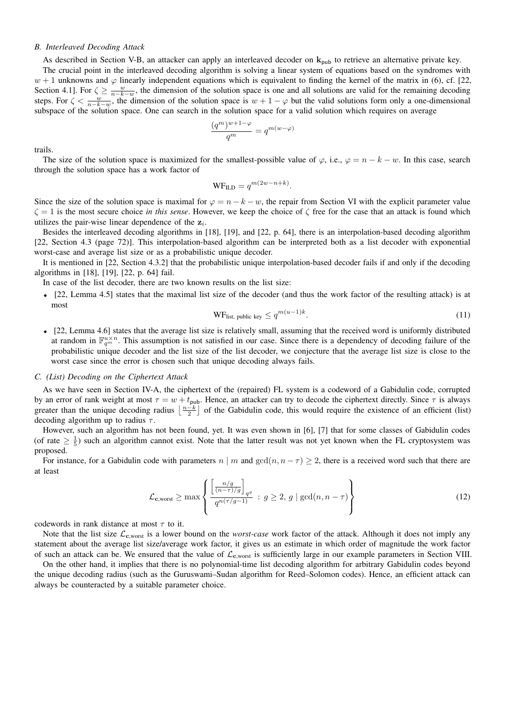## *B. Interleaved Decoding Attack*

As described in Section V-B, an attacker can apply an interleaved decoder on  $k_{pub}$  to retrieve an alternative private key.

The crucial point in the interleaved decoding algorithm is solving a linear system of equations based on the syndromes with  $w + 1$  unknowns and  $\varphi$  linearly independent equations which is equivalent to finding the kernel of the matrix in (6), cf. [22, Section 4.1]. For  $\zeta \ge \frac{w}{n-k-w}$ , the dimension of the solution space is one and all solutions are valid for the remaining decoding steps. For  $\zeta < \frac{w}{n-k-w}$ , the dimension of the solution space is  $w+1-\varphi$  but the valid solutions form only a one-dimensional subspace of the solution space. One can search in the solution space for a valid solution which requires on average

$$
\frac{(q^m)^{w+1-\varphi}}{q^m}=q^{m(w-\varphi)}
$$

trails.

The size of the solution space is maximized for the smallest-possible value of  $\varphi$ , i.e.,  $\varphi = n - k - w$ . In this case, search through the solution space has a work factor of

$$
WF_{ILD} = q^{m(2w - n + k)}.
$$

Since the size of the solution space is maximal for  $\varphi = n - k - w$ , the repair from Section VI with the explicit parameter value  $\zeta = 1$  is the most secure choice *in this sense*. However, we keep the choice of  $\zeta$  free for the case that an attack is found which utilizes the pair-wise linear dependence of the  $z_i$ .

Besides the interleaved decoding algorithms in [18], [19], and [22, p. 64], there is an interpolation-based decoding algorithm [22, Section 4.3 (page 72)]. This interpolation-based algorithm can be interpreted both as a list decoder with exponential worst-case and average list size or as a probabilistic unique decoder.

It is mentioned in [22, Section 4.3.2] that the probabilistic unique interpolation-based decoder fails if and only if the decoding algorithms in [18], [19], [22, p. 64] fail.

In case of the list decoder, there are two known results on the list size:

• [22, Lemma 4.5] states that the maximal list size of the decoder (and thus the work factor of the resulting attack) is at most

$$
WF_{list, public key} \le q^{m(u-1)k}.
$$
\n(11)

• [22, Lemma 4.6] states that the average list size is relatively small, assuming that the received word is uniformly distributed at random in  $\mathbb{F}_{q^m}^{u\times n}$ . This assumption is not satisfied in our case. Since there is a dependency of decoding failure of the probabilistic unique decoder and the list size of the list decoder, we conjecture that the average list size is close to the worst case since the error is chosen such that unique decoding always fails.

#### *C. (List) Decoding on the Ciphertext Attack*

As we have seen in Section IV-A, the ciphertext of the (repaired) FL system is a codeword of a Gabidulin code, corrupted by an error of rank weight at most  $\tau = w + t_{\text{pub}}$ . Hence, an attacker can try to decode the ciphertext directly. Since  $\tau$  is always greater than the unique decoding radius  $\lfloor \frac{n-k}{2} \rfloor$  of the Gabidulin code, this would require the existence of an efficient (list) decoding algorithm up to radius  $\tau$ .

However, such an algorithm has not been found, yet. It was even shown in [6], [7] that for some classes of Gabidulin codes (of rate  $\geq \frac{1}{5}$ ) such an algorithm cannot exist. Note that the latter result was not yet known when the FL cryptosystem was proposed.

For instance, for a Gabidulin code with parameters  $n \mid m$  and  $gcd(n, n - \tau) \geq 2$ , there is a received word such that there are at least

$$
\mathcal{L}_{\mathbf{c},\text{worst}} \ge \max \left\{ \frac{\left[\frac{n/g}{(n-\tau)/g}\right]_{q^g}}{q^{n(\tau/g-1)}} : g \ge 2, g \mid \gcd(n, n-\tau) \right\} \tag{12}
$$

codewords in rank distance at most  $\tau$  to it.

Note that the list size  $\mathcal{L}_{c,worst}$  is a lower bound on the *worst-case* work factor of the attack. Although it does not imply any statement about the average list size/average work factor, it gives us an estimate in which order of magnitude the work factor of such an attack can be. We ensured that the value of  $\mathcal{L}_{c,work}$  is sufficiently large in our example parameters in Section VIII.

On the other hand, it implies that there is no polynomial-time list decoding algorithm for arbitrary Gabidulin codes beyond the unique decoding radius (such as the Guruswami–Sudan algorithm for Reed–Solomon codes). Hence, an efficient attack can always be counteracted by a suitable parameter choice.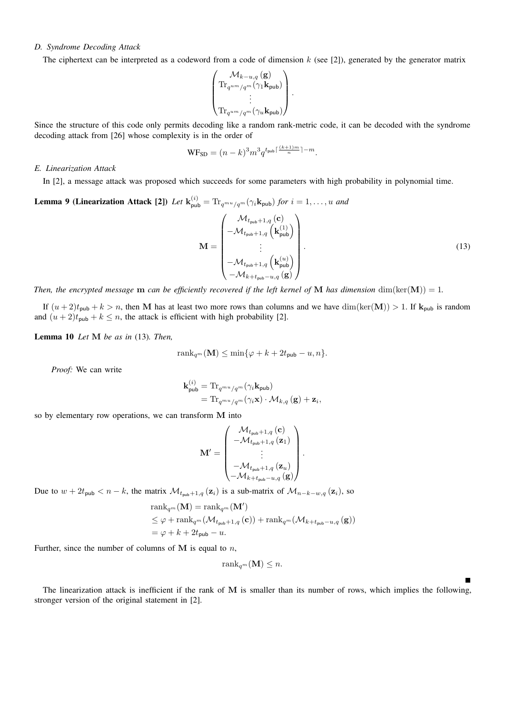# *D. Syndrome Decoding Attack*

The ciphertext can be interpreted as a codeword from a code of dimension  $k$  (see [2]), generated by the generator matrix

$$
\begin{pmatrix} \mathcal{M}_{k-u,q}(\mathbf{g}) \\ \mathrm{Tr}_{q^{u m}/q^m}(\gamma_1 \mathbf{k}_{\mathsf{pub}}) \\ \vdots \\ \mathrm{Tr}_{q^{u m}/q^m}(\gamma_u \mathbf{k}_{\mathsf{pub}}) \end{pmatrix}.
$$

Since the structure of this code only permits decoding like a random rank-metric code, it can be decoded with the syndrome decoding attack from [26] whose complexity is in the order of

$$
\text{WF}_{\text{SD}} = (n-k)^3 m^3 q^{t_{\text{pub}}\lceil \frac{(k+1)m}{n}\rceil - m}.
$$

## *E. Linearization Attack*

In [2], a message attack was proposed which succeeds for some parameters with high probability in polynomial time.

#### **Lemma 9 (Linearization Attack [2])** Let  $\mathbf{k}_{\text{pub}}^{(i)} = \text{Tr}_{q^{mu}/q^{m}}(\gamma_{i}\mathbf{k}_{\text{pub}})$  for  $i = 1, ..., u$  and  $M =$  $\big/ \quad \mathcal{M}_{t_{\mathsf{pub}}+1,q}\left(\mathbf{c}\right)$  $\overline{\phantom{a}}$  $-\mathcal{M}_{t_{\mathsf{pub}}+1,q}\left(\mathbf{k}_{\mathsf{pub}}^{(1)}\right)$ . . .  $-\mathcal{M}_{t_{\mathsf{pub}}+1,q}\left(\mathbf{k}_{\mathsf{pub}}^{(u)}\right)$  $-\mathcal{M}_{k+t_{\mathsf{pub}}-u,q}(\mathbf{g})$  $\setminus$  $\overline{\phantom{a}}$ .  $(13)$

*Then, the encrypted message* **m** *can be efficiently recovered if the left kernel of* **M** *has dimension* dim(ker(**M**)) = 1.

If  $(u + 2)t_{\text{pub}} + k > n$ , then M has at least two more rows than columns and we have  $\dim(\ker(M)) > 1$ . If  $k_{\text{pub}}$  is random and  $(u + 2)t_{\text{pub}} + k \le n$ , the attack is efficient with high probability [2].

Lemma 10 *Let* M *be as in* (13)*. Then,*

$$
\operatorname{rank}_{q^m}(\mathbf{M}) \le \min\{\varphi + k + 2t_{\mathsf{pub}} - u, n\}.
$$

*Proof:* We can write

$$
\begin{aligned} \mathbf{k}_{\text{pub}}^{(i)} &= \text{Tr}_{q^{mu}/q^{m}}(\gamma_{i}\mathbf{k}_{\text{pub}}) \\ &= \text{Tr}_{q^{mu}/q^{m}}(\gamma_{i}\mathbf{x})\cdot\mathcal{M}_{k,q}\left(\mathbf{g}\right) + \mathbf{z}_{i}, \end{aligned}
$$

so by elementary row operations, we can transform M into

$$
\mathbf{M}' = \begin{pmatrix} \mathcal{M}_{t_{\mathsf{pub}}+1,q}(\mathbf{c}) \\ -\mathcal{M}_{t_{\mathsf{pub}}+1,q}(\mathbf{z}_1) \\ \vdots \\ -\mathcal{M}_{t_{\mathsf{pub}}+1,q}(\mathbf{z}_u) \\ -\mathcal{M}_{k+t_{\mathsf{pub}}-u,q}(\mathbf{g}) \end{pmatrix}.
$$

Due to  $w + 2t_{\text{pub}} < n - k$ , the matrix  $\mathcal{M}_{t_{\text{pub}}+1,q}(\mathbf{z}_i)$  is a sub-matrix of  $\mathcal{M}_{n-k-w,q}(\mathbf{z}_i)$ , so

$$
\begin{aligned} &\mathrm{rank}_{q^m}(\mathbf{M}) = \mathrm{rank}_{q^m}(\mathbf{M}')\\ &\leq \varphi + \mathrm{rank}_{q^m}(\mathcal{M}_{t_{\mathsf{pub}}+1,q}(\mathbf{c})) + \mathrm{rank}_{q^m}(\mathcal{M}_{k+t_{\mathsf{pub}}-u,q}(\mathbf{g}))\\ &= \varphi + k + 2t_{\mathsf{pub}} - u.\end{aligned}
$$

Further, since the number of columns of  $M$  is equal to  $n$ ,

$$
rank_{q^m}(\mathbf{M}) \leq n.
$$

 $\blacksquare$ 

The linearization attack is inefficient if the rank of M is smaller than its number of rows, which implies the following, stronger version of the original statement in [2].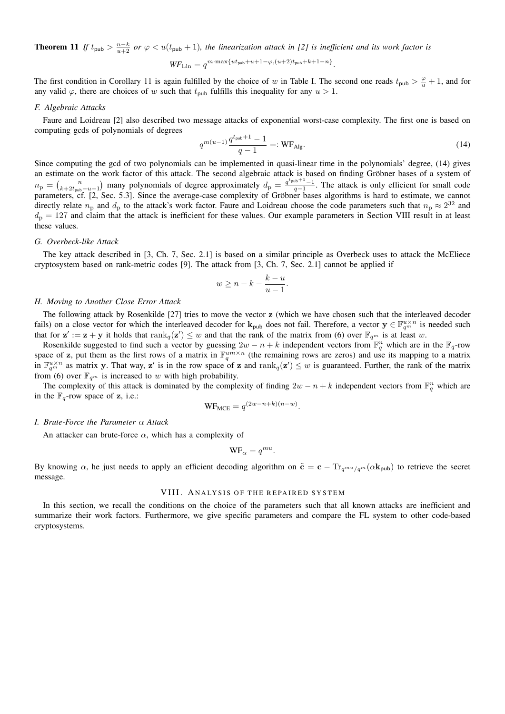**Theorem 11** If  $t_{\text{pub}} > \frac{n-k}{u+2}$  or  $\varphi < u(t_{\text{pub}} + 1)$ , the linearization attack in [2] is inefficient and its work factor is  $\text{WF}_{\text{Lin}} = q^{m \cdot \max\{ut_{\text{pub}} + u + 1 - \varphi, (u+2)t_{\text{pub}} + k + 1 - n\}}.$ 

The first condition in Corollary 11 is again fulfilled by the choice of w in Table I. The second one reads 
$$
t_{\text{pub}} > \frac{\varphi}{u} + 1
$$
, and for any valid  $\varphi$ , there are choices of w such that  $t_{\text{pub}}$  fulfills this inequality for any  $u > 1$ .

## *F. Algebraic Attacks*

Faure and Loidreau [2] also described two message attacks of exponential worst-case complexity. The first one is based on computing gcds of polynomials of degrees

$$
q^{m(u-1)}\frac{q^{t_{\text{pub}}+1}-1}{q-1} =: \text{WF}_{\text{Alg}}.\tag{14}
$$

Since computing the gcd of two polynomials can be implemented in quasi-linear time in the polynomials' degree, (14) gives an estimate on the work factor of this attack. The second algebraic attack is based on finding Gröbner bases of a system of  $n_{\rm p} = {n \choose k+2t_{\rm pub}-u+1}$  many polynomials of degree approximately  $d_{\rm p} = \frac{q^t_{\rm pub}+1}{q-1}$ . The attack is only efficient for small code parameters, cf. [2, Sec. 5.3]. Since the average-case complexity of Gröbner bases algorithms is hard to estimate, we cannot directly relate  $n_p$  and  $d_p$  to the attack's work factor. Faure and Loidreau choose the code parameters such that  $n_p \approx 2^{32}$  and  $d_p = 127$  and claim that the attack is inefficient for these values. Our example parameters in Section VIII result in at least these values.

## *G. Overbeck-like Attack*

The key attack described in [3, Ch. 7, Sec. 2.1] is based on a similar principle as Overbeck uses to attack the McEliece cryptosystem based on rank-metric codes [9]. The attack from [3, Ch. 7, Sec. 2.1] cannot be applied if

$$
w \ge n - k - \frac{k - u}{u - 1}.
$$

# *H. Moving to Another Close Error Attack*

The following attack by Rosenkilde [27] tries to move the vector z (which we have chosen such that the interleaved decoder fails) on a close vector for which the interleaved decoder for  $\mathbf{k}_{pub}$  does not fail. Therefore, a vector  $\mathbf{y} \in \mathbb{F}_{q^m}^{u \times n}$  is needed such that for  $z' := z + y$  it holds that  $rank_q(z') \leq w$  and that the rank of the matrix from (6) over  $\mathbb{F}_{q^m}$  is at least w.

Rosenkilde suggested to find such a vector by guessing  $2w - n + k$  independent vectors from  $\mathbb{F}_q^n$  which are in the  $\mathbb{F}_q$ -row space of z, put them as the first rows of a matrix in  $\mathbb{F}_q^{um\times n}$  (the remaining rows are zeros) and use its mapping to a matrix in  $\mathbb{F}_{q^m}^{u \times n}$  as matrix y. That way, z' is in the row space of z and rank $q(z') \leq w$  is guaranteed. Further, the rank of the matrix from (6) over  $\mathbb{F}_{q^m}$  is increased to w with high probability.

The complexity of this attack is dominated by the complexity of finding  $2w - n + k$  independent vectors from  $\mathbb{F}_q^n$  which are in the  $\mathbb{F}_q$ -row space of z, i.e.:

$$
WF_{MCE} = q^{(2w-n+k)(n-w)}.
$$

# *I. Brute-Force the Parameter* α *Attack*

An attacker can brute-force  $\alpha$ , which has a complexity of

$$
\text{WF}_{\alpha} = q^{mu}.
$$

By knowing  $\alpha$ , he just needs to apply an efficient decoding algorithm on  $\tilde{\mathbf{c}} = \mathbf{c} - \text{Tr}_{q^{mu}/q^{m}}(\alpha \mathbf{k}_{pub})$  to retrieve the secret message.

## VIII. ANALYSIS OF THE REPAIRED SYSTEM

In this section, we recall the conditions on the choice of the parameters such that all known attacks are inefficient and summarize their work factors. Furthermore, we give specific parameters and compare the FL system to other code-based cryptosystems.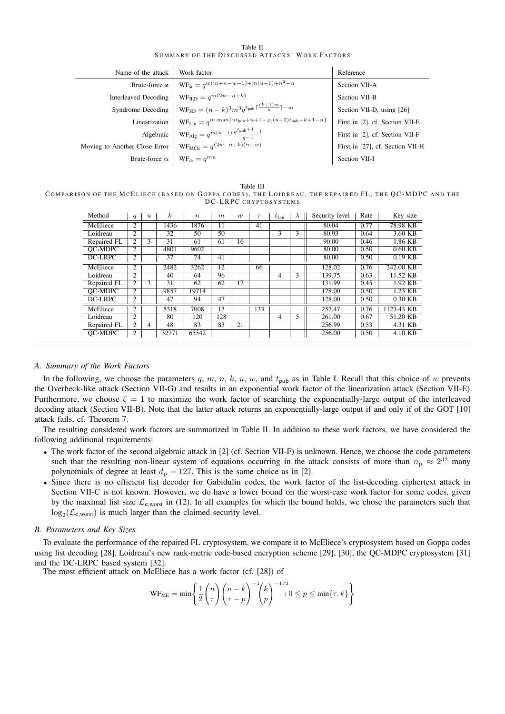| Table II |  |                                                |  |  |  |  |  |  |
|----------|--|------------------------------------------------|--|--|--|--|--|--|
|          |  | SUMMARY OF THE DISCUSSED ATTACKS' WORK FACTORS |  |  |  |  |  |  |

| Name of the attack            | Work factor                                                                                                               | Reference                        |
|-------------------------------|---------------------------------------------------------------------------------------------------------------------------|----------------------------------|
| Brute-force z                 | $WF_z = q^{w(m+n-w-1)+m(u-1)+n^2-n}$                                                                                      | Section VII-A                    |
| Interleaved Decoding          | $WF_{\text{ILD}} = q^{m(2w-n+k)}$                                                                                         | Section VII-B                    |
| Syndrome Decoding             | $WF_{SD} = (n-k)^3 m^3 a^{t_{pub} \lceil \frac{(k+1)m}{n} \rceil - m}$                                                    | Section VII-D, using [26]        |
| Linearization                 | $\mathsf{WF}_{\mathsf{Lin}} = q^{m \cdot \max\{ut_{\mathsf{pub}} + u + 1 - \varphi, (u+2)t_{\mathsf{pub}} + k + 1 - n\}}$ | First in [2], cf. Section VII-E  |
| Algebraic                     | $WF_{\text{Alg}} = q^{m(u-1)} \frac{q^t \text{pub} + 1} {q-1}$                                                            | First in [2], cf. Section VII-F  |
| Moving to Another Close Error | $WF_{MCE} = q^{(2w-n+k)(n-w)}$                                                                                            | First in [27], cf. Section VII-H |
| Brute-force $\alpha$          | $WF_{\alpha} = q^{mu}$                                                                                                    | Section VII-I                    |

Table III COMPARISON OF THE MCELIECE (BASED ON GOPPA CODES), THE LOIDREAU, THE REPAIRED FL, THE OC-MDPC AND THE DC-LRPC CRYPTOSYSTEMS

| Method      | $\boldsymbol{q}$ | $\boldsymbol{u}$ | $\boldsymbol{k}$ | $\boldsymbol{n}$ | $\boldsymbol{m}$ | $\overline{u}$ | $\tau$ | $t_{\rm Loi}$ | $\lambda$ | Security level | Rate | Key size   |
|-------------|------------------|------------------|------------------|------------------|------------------|----------------|--------|---------------|-----------|----------------|------|------------|
| McEliece    | 2                |                  | 1436             | 1876             | 11               |                | 41     |               |           | 80.04          | 0.77 | 78.98 KB   |
| Loidreau    | 2                |                  | 32               | 50               | 50               |                |        | 3             | 3         | 80.93          | 0.64 | 3.60 KB    |
| Repaired FL | $\overline{c}$   | 3                | 31               | 61               | 61               | 16             |        |               |           | 90.00          | 0.46 | 1.86 KB    |
| OC-MDPC     | 2                |                  | 4801             | 9602             |                  |                |        |               |           | 80.00          | 0.50 | $0.60$ KB  |
| DC-LRPC     | $\overline{c}$   |                  | 37               | 74               | 41               |                |        |               |           | 80.00          | 0.50 | $0.19$ KB  |
| McEliece    | 2                |                  | 2482             | 3262             | 12               |                | 66     |               |           | 128.02         | 0.76 | 242.00 KB  |
| Loidreau    | 2                |                  | 40               | 64               | 96               |                |        | 4             | 3         | 139.75         | 0.63 | 11.52 KB   |
| Repaired FL | 2                | 3                | 31               | 62               | 62               | 17             |        |               |           | 131.99         | 0.45 | 1.92 KB    |
| OC-MDPC     | 2                |                  | 9857             | 19714            |                  |                |        |               |           | 128.00         | 0.50 | $1.23$ KB  |
| DC-LRPC     | 2                |                  | 47               | 94               | 47               |                |        |               |           | 128.00         | 0.50 | $0.30$ KB  |
| McEliece    | 2                |                  | 5318             | 7008             | 13               |                | 133    |               |           | 257.47         | 0.76 | 1123.43 KB |
| Loidreau    | 2                |                  | 80               | 120              | 128              |                |        | 4             | 5         | 261.00         | 0.67 | 51.20 KB   |
| Repaired FL | $\overline{c}$   | 4                | 48               | 83               | 83               | 21             |        |               |           | 256.99         | 0.53 | 4.31 KB    |
| OC-MDPC     | 2                |                  | 32771            | 65542            |                  |                |        |               |           | 256.00         | 0.50 | 4.10 KB    |

# *A. Summary of the Work Factors*

In the following, we choose the parameters q, m, n, k, u, w, and  $t_{\text{pub}}$  as in Table I. Recall that this choice of w prevents the Overbeck-like attack (Section VII-G) and results in an exponential work factor of the linearization attack (Section VII-E). Furthermore, we choose  $\zeta = 1$  to maximize the work factor of searching the exponentially-large output of the interleaved decoding attack (Section VII-B). Note that the latter attack returns an exponentially-large output if and only if of the GOT [10] attack fails, cf. Theorem 7.

The resulting considered work factors are summarized in Table II. In addition to these work factors, we have considered the following additional requirements:

- The work factor of the second algebraic attack in [2] (cf. Section VII-F) is unknown. Hence, we choose the code parameters such that the resulting non-linear system of equations occurring in the attack consists of more than  $n_p \approx 2^{32}$  many polynomials of degree at least  $d_p = 127$ . This is the same choice as in [2].
- Since there is no efficient list decoder for Gabidulin codes, the work factor of the list-decoding ciphertext attack in Section VII-C is not known. However, we do have a lower bound on the worst-case work factor for some codes, given by the maximal list size  $\mathcal{L}_{c,worst}$  in (12). In all examples for which the bound holds, we chose the parameters such that  $\log_2(\mathcal{L}_{\mathbf{c},\text{worst}})$  is much larger than the claimed security level.

## *B. Parameters and Key Sizes*

To evaluate the performance of the repaired FL cryptosystem, we compare it to McEliece's cryptosystem based on Goppa codes using list decoding [28], Loidreau's new rank-metric code-based encryption scheme [29], [30], the QC-MDPC cryptosystem [31] and the DC-LRPC based system [32].

The most efficient attack on McEliece has a work factor (cf. [28]) of

$$
\text{WF}_{\text{ME}} = \min \left\{ \frac{1}{2} {n \choose \tau} {n-k \choose \tau-p}^{-1} {k \choose p}^{-1/2} : 0 \le p \le \min\{\tau, k\} \right\}
$$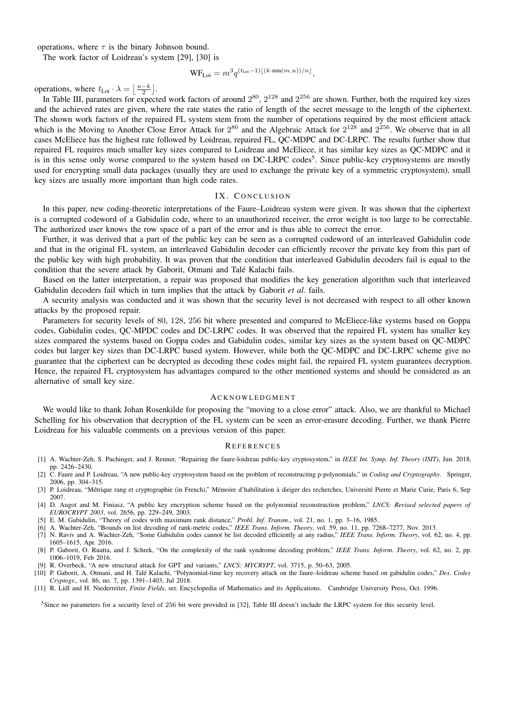operations, where  $\tau$  is the binary Johnson bound.

The work factor of Loidreau's system [29], [30] is

$$
WF_{Loi} = m^3 q^{(t_{Loi}-1)\lfloor (k \cdot \min(m,n))/n \rfloor},
$$

operations, where  $t_{\text{Loi}} \cdot \lambda = \left\lfloor \frac{n-k}{2} \right\rfloor$ .

In Table III, parameters for expected work factors of around  $2^{80}$ ,  $2^{128}$  and  $2^{256}$  are shown. Further, both the required key sizes and the achieved rates are given, where the rate states the ratio of length of the secret message to the length of the ciphertext. The shown work factors of the repaired FL system stem from the number of operations required by the most efficient attack which is the Moving to Another Close Error Attack for  $2^{80}$  and the Algebraic Attack for  $2^{128}$  and  $2^{256}$ . We observe that in all cases McEliece has the highest rate followed by Loidreau, repaired FL, QC-MDPC and DC-LRPC. The results further show that repaired FL requires much smaller key sizes compared to Loidreau and McEliece, it has similar key sizes as QC-MDPC and it is in this sense only worse compared to the system based on DC-LRPC codes<sup>5</sup>. Since public-key cryptosystems are mostly used for encrypting small data packages (usually they are used to exchange the private key of a symmetric cryptosystem), small key sizes are usually more important than high code rates.

## IX. CONCLUSION

In this paper, new coding-theoretic interpretations of the Faure–Loidreau system were given. It was shown that the ciphertext is a corrupted codeword of a Gabidulin code, where to an unauthorized receiver, the error weight is too large to be correctable. The authorized user knows the row space of a part of the error and is thus able to correct the error.

Further, it was derived that a part of the public key can be seen as a corrupted codeword of an interleaved Gabidulin code and that in the original FL system, an interleaved Gabidulin decoder can efficiently recover the private key from this part of the public key with high probability. It was proven that the condition that interleaved Gabidulin decoders fail is equal to the condition that the severe attack by Gaborit, Otmani and Talé Kalachi fails.

Based on the latter interpretation, a repair was proposed that modifies the key generation algorithm such that interleaved Gabidulin decoders fail which in turn implies that the attack by Gaborit *et al.* fails.

A security analysis was conducted and it was shown that the security level is not decreased with respect to all other known attacks by the proposed repair.

Parameters for security levels of 80, 128, 256 bit where presented and compared to McEliece-like systems based on Goppa codes, Gabidulin codes, QC-MPDC codes and DC-LRPC codes. It was observed that the repaired FL system has smaller key sizes compared the systems based on Goppa codes and Gabidulin codes, similar key sizes as the system based on QC-MDPC codes but larger key sizes than DC-LRPC based system. However, while both the QC-MDPC and DC-LRPC scheme give no guarantee that the ciphertext can be decrypted as decoding these codes might fail, the repaired FL system guarantees decryption. Hence, the repaired FL cryptosystem has advantages compared to the other mentioned systems and should be considered as an alternative of small key size.

## **ACKNOWLEDGMENT**

We would like to thank Johan Rosenkilde for proposing the "moving to a close error" attack. Also, we are thankful to Michael Schelling for his observation that decryption of the FL system can be seen as error-erasure decoding. Further, we thank Pierre Loidreau for his valuable comments on a previous version of this paper.

#### **REFERENCES**

- [1] A. Wachter-Zeh, S. Puchinger, and J. Renner, "Repairing the faure-loidreau public-key cryptosystem," in *IEEE Int. Symp. Inf. Theory (ISIT)*, Jun. 2018, pp. 2426–2430.
- [2] C. Faure and P. Loidreau, "A new public-key cryptosystem based on the problem of reconstructing p-polynomials," in *Coding and Cryptography*. Springer, 2006, pp. 304–315.
- [3] P. Loidreau, "Métrique rang et cryptographie (in French)," Mémoire d'habilitation à diriger des recherches, Université Pierre et Marie Curie, Paris 6, Sep 2007.
- [4] D. Augot and M. Finiasz, "A public key encryption scheme based on the polynomial reconstruction problem," *LNCS: Revised selected papers of EUROCRYPT 2003*, vol. 2656, pp. 229–249, 2003.
- [5] E. M. Gabidulin, "Theory of codes with maximum rank distance," *Probl. Inf. Transm.*, vol. 21, no. 1, pp. 3–16, 1985.
- [6] A. Wachter-Zeh, "Bounds on list decoding of rank-metric codes," *IEEE Trans. Inform. Theory*, vol. 59, no. 11, pp. 7268–7277, Nov. 2013.
- [7] N. Raviv and A. Wachter-Zeh, "Some Gabidulin codes cannot be list decoded efficiently at any radius," *IEEE Trans. Inform. Theory*, vol. 62, no. 4, pp. 1605–1615, Apr. 2016.
- [8] P. Gaborit, O. Ruatta, and J. Schrek, "On the complexity of the rank syndrome decoding problem," *IEEE Trans. Inform. Theory*, vol. 62, no. 2, pp. 1006–1019, Feb 2016.
- [9] R. Overbeck, "A new structural attack for GPT and variants," *LNCS: MYCRYPT*, vol. 3715, p. 50–63, 2005.
- [10] P. Gaborit, A. Otmani, and H. Talé Kalachi, "Polynomial-time key recovery attack on the faure–loidreau scheme based on gabidulin codes," *Des. Codes Cryptogr.*, vol. 86, no. 7, pp. 1391–1403, Jul 2018.
- [11] R. Lidl and H. Niederreiter, *Finite Fields*, ser. Encyclopedia of Mathematics and its Applications. Cambridge University Press, Oct. 1996.

<sup>5</sup>Since no parameters for a security level of 256 bit were provided in [32], Table III doesn't include the LRPC system for this security level.